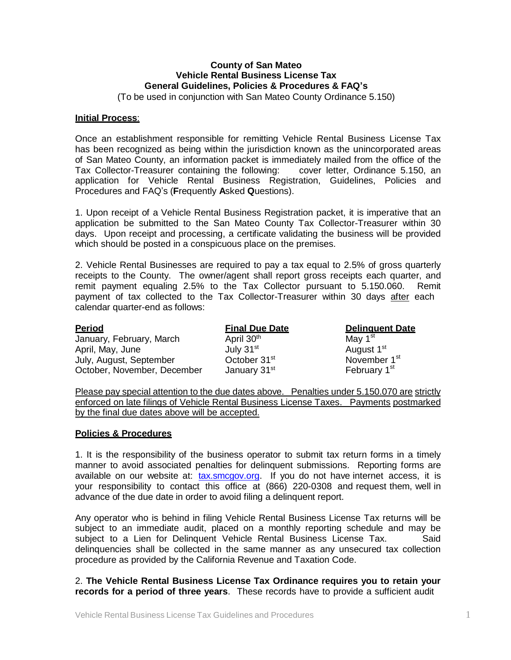## **County of San Mateo Vehicle Rental Business License Tax General Guidelines, Policies & Procedures & FAQ's**

(To be used in conjunction with San Mateo County Ordinance 5.150)

### **Initial Process**:

Once an establishment responsible for remitting Vehicle Rental Business License Tax has been recognized as being within the jurisdiction known as the unincorporated areas of San Mateo County, an information packet is immediately mailed from the office of the Tax Collector-Treasurer containing the following: cover letter, Ordinance 5.150, an application for Vehicle Rental Business Registration, Guidelines, Policies and Procedures and FAQ's (**F**requently **A**sked **Q**uestions).

1. Upon receipt of a Vehicle Rental Business Registration packet, it is imperative that an application be submitted to the San Mateo County Tax Collector-Treasurer within 30 days. Upon receipt and processing, a certificate validating the business will be provided which should be posted in a conspicuous place on the premises.

calendar quarter-end as follows: 2. Vehicle Rental Businesses are required to pay a tax equal to 2.5% of gross quarterly receipts to the County. The owner/agent shall report gross receipts each quarter, and remit payment equaling 2.5% to the Tax Collector pursuant to 5.150.060. Remit payment of tax collected to the Tax Collector-Treasurer within 30 days after each

| <b>Period</b>               | <b>Final Due Date</b>    | <b>Delinguent Date</b>   |
|-----------------------------|--------------------------|--------------------------|
| January, February, March    | April 30 <sup>th</sup>   | May 1 <sup>st</sup>      |
| April, May, June            | July 31 <sup>st</sup>    | August 1 <sup>st</sup>   |
| July, August, September     | October 31 <sup>st</sup> | November 1 <sup>st</sup> |
| October, November, December | January 31 <sup>st</sup> | February 1 <sup>st</sup> |

Please pay special attention to the due dates above. Penalties under 5.150.070 are strictly enforced on late filings of Vehicle Rental Business License Taxes. Payments postmarked by the final due dates above will be accepted.

### **Policies & Procedures**

1. It is the responsibility of the business operator to submit tax return forms in a timely manner to avoid associated penalties for delinquent submissions. Reporting forms are available on our website at: [tax.smcgov.org.](http://www.sanmateocountytaxcollector.org/) If you do not have internet access, it is your responsibility to contact this office at (866) 220-0308 and request them, well in advance of the due date in order to avoid filing a delinquent report.

Any operator who is behind in filing Vehicle Rental Business License Tax returns will be subject to an immediate audit, placed on a monthly reporting schedule and may be subject to a Lien for Delinquent Vehicle Rental Business License Tax. Said delinquencies shall be collected in the same manner as any unsecured tax collection procedure as provided by the California Revenue and Taxation Code.

### 2. **The Vehicle Rental Business License Tax Ordinance requires you to retain your records for a period of three years**. These records have to provide a sufficient audit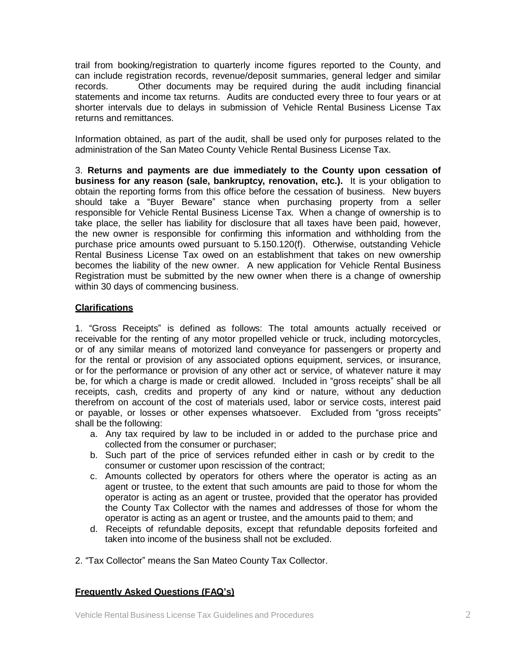trail from booking/registration to quarterly income figures reported to the County, and can include registration records, revenue/deposit summaries, general ledger and similar records. Other documents may be required during the audit including financial statements and income tax returns. Audits are conducted every three to four years or at shorter intervals due to delays in submission of Vehicle Rental Business License Tax returns and remittances.

Information obtained, as part of the audit, shall be used only for purposes related to the administration of the San Mateo County Vehicle Rental Business License Tax.

3. **Returns and payments are due immediately to the County upon cessation of business for any reason (sale, bankruptcy, renovation, etc.).** It is your obligation to obtain the reporting forms from this office before the cessation of business. New buyers should take a "Buyer Beware" stance when purchasing property from a seller responsible for Vehicle Rental Business License Tax. When a change of ownership is to take place, the seller has liability for disclosure that all taxes have been paid, however, the new owner is responsible for confirming this information and withholding from the purchase price amounts owed pursuant to 5.150.120(f). Otherwise, outstanding Vehicle Rental Business License Tax owed on an establishment that takes on new ownership becomes the liability of the new owner. A new application for Vehicle Rental Business Registration must be submitted by the new owner when there is a change of ownership within 30 days of commencing business.

# **Clarifications**

1. "Gross Receipts" is defined as follows: The total amounts actually received or receivable for the renting of any motor propelled vehicle or truck, including motorcycles, or of any similar means of motorized land conveyance for passengers or property and for the rental or provision of any associated options equipment, services, or insurance, or for the performance or provision of any other act or service, of whatever nature it may be, for which a charge is made or credit allowed. Included in "gross receipts" shall be all receipts, cash, credits and property of any kind or nature, without any deduction therefrom on account of the cost of materials used, labor or service costs, interest paid or payable, or losses or other expenses whatsoever. Excluded from "gross receipts" shall be the following:

- a. Any tax required by law to be included in or added to the purchase price and collected from the consumer or purchaser;
- b. Such part of the price of services refunded either in cash or by credit to the consumer or customer upon rescission of the contract;
- c. Amounts collected by operators for others where the operator is acting as an agent or trustee, to the extent that such amounts are paid to those for whom the operator is acting as an agent or trustee, provided that the operator has provided the County Tax Collector with the names and addresses of those for whom the operator is acting as an agent or trustee, and the amounts paid to them; and
- d. Receipts of refundable deposits, except that refundable deposits forfeited and taken into income of the business shall not be excluded.
- 2. "Tax Collector" means the San Mateo County Tax Collector.

# **Frequently Asked Questions (FAQ's)**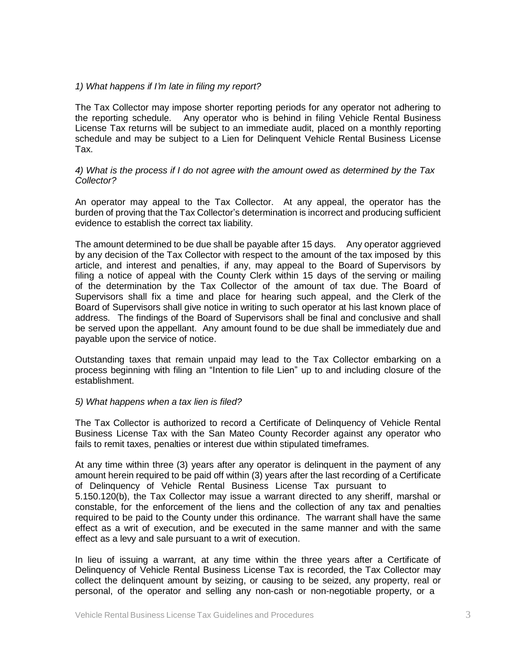### *1) What happens if I'm late in filing my report?*

The Tax Collector may impose shorter reporting periods for any operator not adhering to the reporting schedule. Any operator who is behind in filing Vehicle Rental Business License Tax returns will be subject to an immediate audit, placed on a monthly reporting schedule and may be subject to a Lien for Delinquent Vehicle Rental Business License Tax.

### *4) What is the process if I do not agree with the amount owed as determined by the Tax Collector?*

An operator may appeal to the Tax Collector. At any appeal, the operator has the burden of proving that the Tax Collector's determination is incorrect and producing sufficient evidence to establish the correct tax liability.

The amount determined to be due shall be payable after 15 days. Any operator aggrieved by any decision of the Tax Collector with respect to the amount of the tax imposed by this article, and interest and penalties, if any, may appeal to the Board of Supervisors by filing a notice of appeal with the County Clerk within 15 days of the serving or mailing of the determination by the Tax Collector of the amount of tax due. The Board of Supervisors shall fix a time and place for hearing such appeal, and the Clerk of the Board of Supervisors shall give notice in writing to such operator at his last known place of address. The findings of the Board of Supervisors shall be final and conclusive and shall be served upon the appellant. Any amount found to be due shall be immediately due and payable upon the service of notice.

Outstanding taxes that remain unpaid may lead to the Tax Collector embarking on a process beginning with filing an "Intention to file Lien" up to and including closure of the establishment.

### *5) What happens when a tax lien is filed?*

The Tax Collector is authorized to record a Certificate of Delinquency of Vehicle Rental Business License Tax with the San Mateo County Recorder against any operator who fails to remit taxes, penalties or interest due within stipulated timeframes.

At any time within three (3) years after any operator is delinquent in the payment of any amount herein required to be paid off within (3) years after the last recording of a Certificate of Delinquency of Vehicle Rental Business License Tax pursuant to 5.150.120(b), the Tax Collector may issue a warrant directed to any sheriff, marshal or constable, for the enforcement of the liens and the collection of any tax and penalties required to be paid to the County under this ordinance. The warrant shall have the same effect as a writ of execution, and be executed in the same manner and with the same effect as a levy and sale pursuant to a writ of execution.

In lieu of issuing a warrant, at any time within the three years after a Certificate of Delinquency of Vehicle Rental Business License Tax is recorded, the Tax Collector may collect the delinquent amount by seizing, or causing to be seized, any property, real or personal, of the operator and selling any non-cash or non-negotiable property, or a